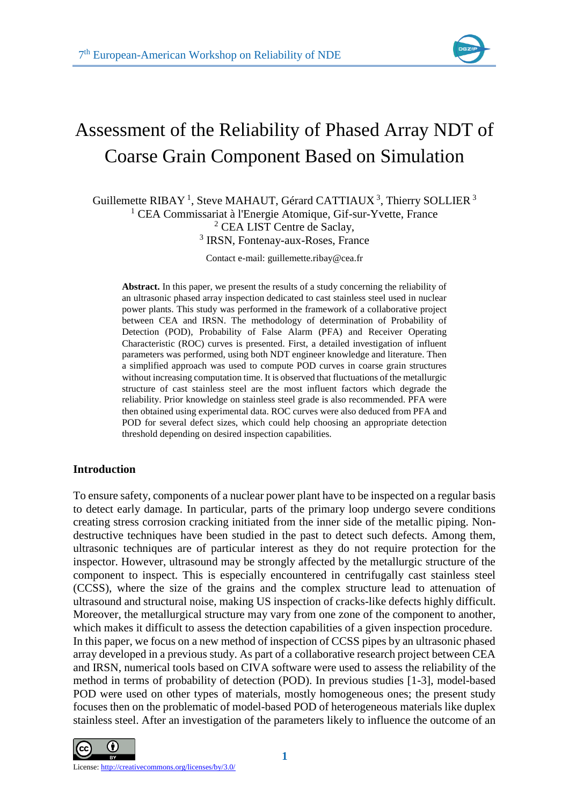

# Assessment of the Reliability of Phased Array NDT of Coarse Grain Component Based on Simulation

Guillemette RIBAY<sup>1</sup>, Steve MAHAUT, Gérard CATTIAUX<sup>3</sup>, Thierry SOLLIER<sup>3</sup> CEA Commissariat à l'Energie Atomique, Gif-sur-Yvette, France CEA LIST Centre de Saclay, IRSN, Fontenay-aux-Roses, France

Contact e-mail: guillemette.ribay@cea.fr

**Abstract.** In this paper, we present the results of a study concerning the reliability of an ultrasonic phased array inspection dedicated to cast stainless steel used in nuclear power plants. This study was performed in the framework of a collaborative project between CEA and IRSN. The methodology of determination of Probability of Detection (POD), Probability of False Alarm (PFA) and Receiver Operating Characteristic (ROC) curves is presented. First, a detailed investigation of influent parameters was performed, using both NDT engineer knowledge and literature. Then a simplified approach was used to compute POD curves in coarse grain structures without increasing computation time. It is observed that fluctuations of the metallurgic structure of cast stainless steel are the most influent factors which degrade the reliability. Prior knowledge on stainless steel grade is also recommended. PFA were then obtained using experimental data. ROC curves were also deduced from PFA and POD for several defect sizes, which could help choosing an appropriate detection threshold depending on desired inspection capabilities.

## **Introduction**

To ensure safety, components of a nuclear power plant have to be inspected on a regular basis to detect early damage. In particular, parts of the primary loop undergo severe conditions creating stress corrosion cracking initiated from the inner side of the metallic piping. Nondestructive techniques have been studied in the past to detect such defects. Among them, ultrasonic techniques are of particular interest as they do not require protection for the inspector. However, ultrasound may be strongly affected by the metallurgic structure of the component to inspect. This is especially encountered in centrifugally cast stainless steel (CCSS), where the size of the grains and the complex structure lead to attenuation of ultrasound and structural noise, making US inspection of cracks-like defects highly difficult. Moreover, the metallurgical structure may vary from one zone of the component to another, which makes it difficult to assess the detection capabilities of a given inspection procedure. In this paper, we focus on a new method of inspection of CCSS pipes by an ultrasonic phased array developed in a previous study. As part of a collaborative research project between CEA and IRSN, numerical tools based on CIVA software were used to assess the reliability of the method in terms of probability of detection (POD). In previous studies [1-3], model-based POD were used on other types of materials, mostly homogeneous ones; the present study focuses then on the problematic of model-based POD of heterogeneous materials like duplex stainless steel. After an investigation of the parameters likely to influence the outcome of an

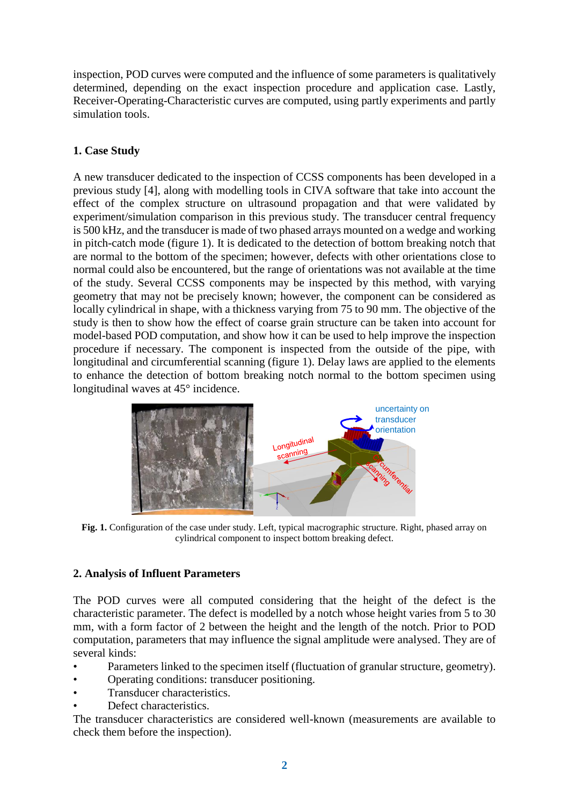inspection, POD curves were computed and the influence of some parameters is qualitatively determined, depending on the exact inspection procedure and application case. Lastly, Receiver-Operating-Characteristic curves are computed, using partly experiments and partly simulation tools.

# **1. Case Study**

A new transducer dedicated to the inspection of CCSS components has been developed in a previous study [4], along with modelling tools in CIVA software that take into account the effect of the complex structure on ultrasound propagation and that were validated by experiment/simulation comparison in this previous study. The transducer central frequency is 500 kHz, and the transducer is made of two phased arrays mounted on a wedge and working in pitch-catch mode (figure 1). It is dedicated to the detection of bottom breaking notch that are normal to the bottom of the specimen; however, defects with other orientations close to normal could also be encountered, but the range of orientations was not available at the time of the study. Several CCSS components may be inspected by this method, with varying geometry that may not be precisely known; however, the component can be considered as locally cylindrical in shape, with a thickness varying from 75 to 90 mm. The objective of the study is then to show how the effect of coarse grain structure can be taken into account for model-based POD computation, and show how it can be used to help improve the inspection procedure if necessary. The component is inspected from the outside of the pipe, with longitudinal and circumferential scanning (figure 1). Delay laws are applied to the elements to enhance the detection of bottom breaking notch normal to the bottom specimen using longitudinal waves at 45° incidence.



**Fig. 1.** Configuration of the case under study. Left, typical macrographic structure. Right, phased array on cylindrical component to inspect bottom breaking defect.

# **2. Analysis of Influent Parameters**

The POD curves were all computed considering that the height of the defect is the characteristic parameter. The defect is modelled by a notch whose height varies from 5 to 30 mm, with a form factor of 2 between the height and the length of the notch. Prior to POD computation, parameters that may influence the signal amplitude were analysed. They are of several kinds:

- Parameters linked to the specimen itself (fluctuation of granular structure, geometry).
- Operating conditions: transducer positioning.
- Transducer characteristics.
- Defect characteristics.

The transducer characteristics are considered well-known (measurements are available to check them before the inspection).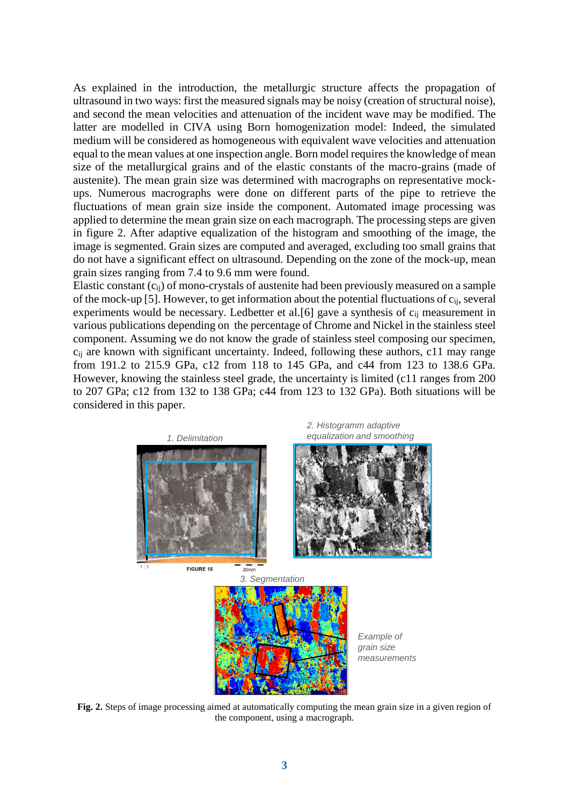As explained in the introduction, the metallurgic structure affects the propagation of ultrasound in two ways: first the measured signals may be noisy (creation of structural noise), and second the mean velocities and attenuation of the incident wave may be modified. The latter are modelled in CIVA using Born homogenization model: Indeed, the simulated medium will be considered as homogeneous with equivalent wave velocities and attenuation equal to the mean values at one inspection angle. Born model requires the knowledge of mean size of the metallurgical grains and of the elastic constants of the macro-grains (made of austenite). The mean grain size was determined with macrographs on representative mockups. Numerous macrographs were done on different parts of the pipe to retrieve the fluctuations of mean grain size inside the component. Automated image processing was applied to determine the mean grain size on each macrograph. The processing steps are given in figure 2. After adaptive equalization of the histogram and smoothing of the image, the image is segmented. Grain sizes are computed and averaged, excluding too small grains that do not have a significant effect on ultrasound. Depending on the zone of the mock-up, mean grain sizes ranging from 7.4 to 9.6 mm were found.

Elastic constant (cij) of mono-crystals of austenite had been previously measured on a sample of the mock-up [5]. However, to get information about the potential fluctuations of cij, several experiments would be necessary. Ledbetter et al.[6] gave a synthesis of c<sub>ij</sub> measurement in various publications depending on the percentage of Chrome and Nickel in the stainless steel component. Assuming we do not know the grade of stainless steel composing our specimen,  $c_{ii}$  are known with significant uncertainty. Indeed, following these authors, c11 may range from 191.2 to 215.9 GPa, c12 from 118 to 145 GPa, and c44 from 123 to 138.6 GPa. However, knowing the stainless steel grade, the uncertainty is limited (c11 ranges from 200 to 207 GPa; c12 from 132 to 138 GPa; c44 from 123 to 132 GPa). Both situations will be considered in this paper.



**Fig. 2.** Steps of image processing aimed at automatically computing the mean grain size in a given region of the component, using a macrograph.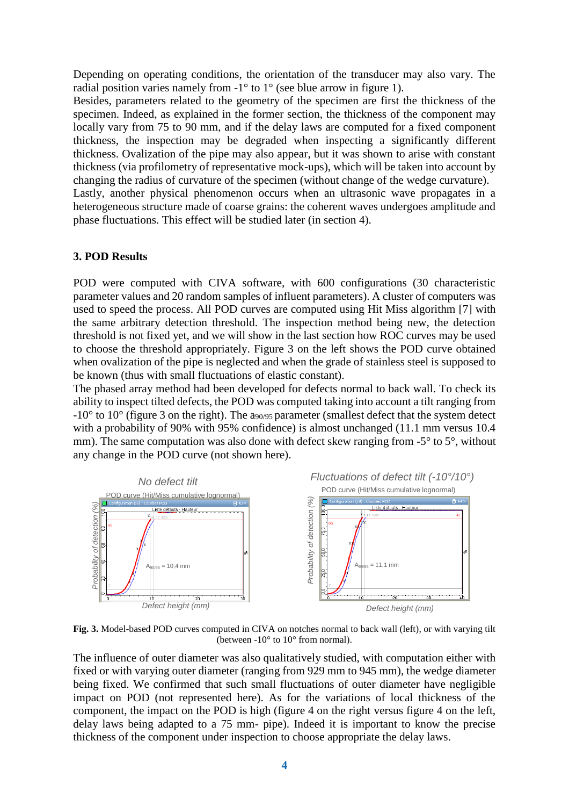Depending on operating conditions, the orientation of the transducer may also vary. The radial position varies namely from  $-1^\circ$  to  $1^\circ$  (see blue arrow in figure 1).

Besides, parameters related to the geometry of the specimen are first the thickness of the specimen. Indeed, as explained in the former section, the thickness of the component may locally vary from 75 to 90 mm, and if the delay laws are computed for a fixed component thickness, the inspection may be degraded when inspecting a significantly different thickness. Ovalization of the pipe may also appear, but it was shown to arise with constant thickness (via profilometry of representative mock-ups), which will be taken into account by changing the radius of curvature of the specimen (without change of the wedge curvature).

Lastly, another physical phenomenon occurs when an ultrasonic wave propagates in a heterogeneous structure made of coarse grains: the coherent waves undergoes amplitude and phase fluctuations. This effect will be studied later (in section 4).

## **3. POD Results**

POD were computed with CIVA software, with 600 configurations (30 characteristic parameter values and 20 random samples of influent parameters). A cluster of computers was used to speed the process. All POD curves are computed using Hit Miss algorithm [7] with the same arbitrary detection threshold. The inspection method being new, the detection threshold is not fixed yet, and we will show in the last section how ROC curves may be used to choose the threshold appropriately. Figure 3 on the left shows the POD curve obtained when ovalization of the pipe is neglected and when the grade of stainless steel is supposed to be known (thus with small fluctuations of elastic constant).

The phased array method had been developed for defects normal to back wall. To check its ability to inspect tilted defects, the POD was computed taking into account a tilt ranging from  $-10^{\circ}$  to  $10^{\circ}$  (figure 3 on the right). The a<sub>90/95</sub> parameter (smallest defect that the system detect with a probability of 90% with 95% confidence) is almost unchanged (11.1 mm versus 10.4 mm). The same computation was also done with defect skew ranging from -5<sup>°</sup> to 5<sup>°</sup>, without any change in the POD curve (not shown here).



**Fig. 3.** Model-based POD curves computed in CIVA on notches normal to back wall (left), or with varying tilt (between  $-10^{\circ}$  to  $10^{\circ}$  from normal).

The influence of outer diameter was also qualitatively studied, with computation either with fixed or with varying outer diameter (ranging from 929 mm to 945 mm), the wedge diameter being fixed. We confirmed that such small fluctuations of outer diameter have negligible impact on POD (not represented here). As for the variations of local thickness of the component, the impact on the POD is high (figure 4 on the right versus figure 4 on the left, delay laws being adapted to a 75 mm- pipe). Indeed it is important to know the precise thickness of the component under inspection to choose appropriate the delay laws.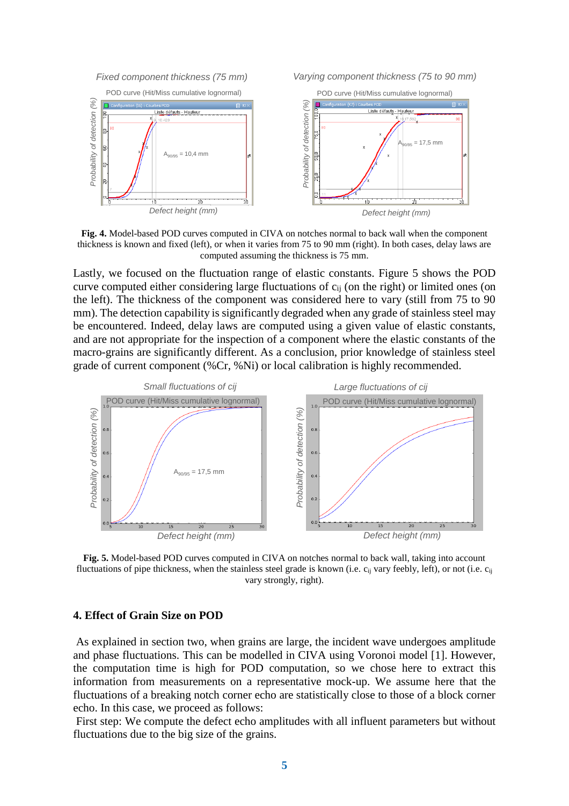

*Fixed component thickness (75 mm) Varying component thickness (75 to 90 mm)*



**Fig. 4.** Model-based POD curves computed in CIVA on notches normal to back wall when the component thickness is known and fixed (left), or when it varies from 75 to 90 mm (right). In both cases, delay laws are computed assuming the thickness is 75 mm.

Lastly, we focused on the fluctuation range of elastic constants. Figure 5 shows the POD curve computed either considering large fluctuations of cij (on the right) or limited ones (on the left). The thickness of the component was considered here to vary (still from 75 to 90 mm). The detection capability is significantly degraded when any grade of stainless steel may be encountered. Indeed, delay laws are computed using a given value of elastic constants, and are not appropriate for the inspection of a component where the elastic constants of the macro-grains are significantly different. As a conclusion, prior knowledge of stainless steel grade of current component (%Cr, %Ni) or local calibration is highly recommended.



**Fig. 5.** Model-based POD curves computed in CIVA on notches normal to back wall, taking into account fluctuations of pipe thickness, when the stainless steel grade is known (i.e.  $c_{ij}$  vary feebly, left), or not (i.e.  $c_{ij}$ vary strongly, right).

#### **4. Effect of Grain Size on POD**

As explained in section two, when grains are large, the incident wave undergoes amplitude and phase fluctuations. This can be modelled in CIVA using Voronoi model [1]. However, the computation time is high for POD computation, so we chose here to extract this information from measurements on a representative mock-up. We assume here that the fluctuations of a breaking notch corner echo are statistically close to those of a block corner echo. In this case, we proceed as follows:

First step: We compute the defect echo amplitudes with all influent parameters but without fluctuations due to the big size of the grains.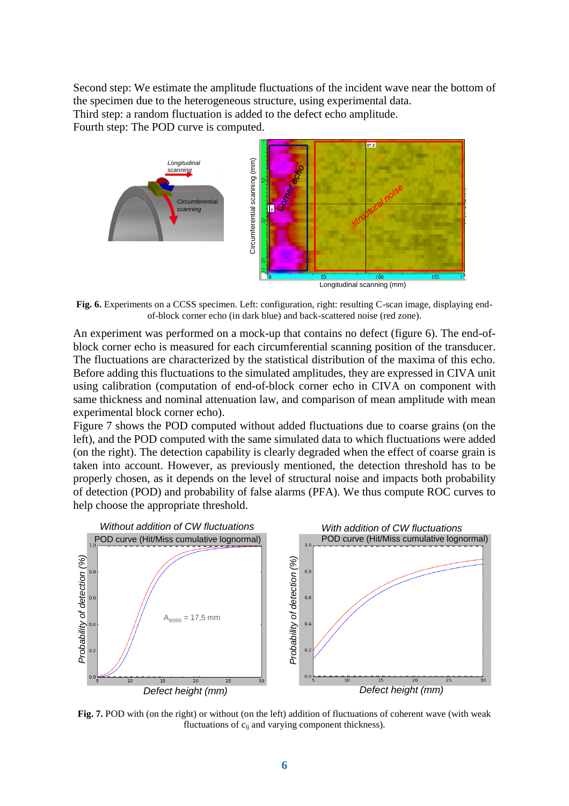Second step: We estimate the amplitude fluctuations of the incident wave near the bottom of the specimen due to the heterogeneous structure, using experimental data. Third step: a random fluctuation is added to the defect echo amplitude.

Fourth step: The POD curve is computed.



**Fig. 6.** Experiments on a CCSS specimen. Left: configuration, right: resulting C-scan image, displaying endof-block corner echo (in dark blue) and back-scattered noise (red zone).

An experiment was performed on a mock-up that contains no defect (figure 6). The end-ofblock corner echo is measured for each circumferential scanning position of the transducer. The fluctuations are characterized by the statistical distribution of the maxima of this echo. Before adding this fluctuations to the simulated amplitudes, they are expressed in CIVA unit using calibration (computation of end-of-block corner echo in CIVA on component with same thickness and nominal attenuation law, and comparison of mean amplitude with mean experimental block corner echo).

Figure 7 shows the POD computed without added fluctuations due to coarse grains (on the left), and the POD computed with the same simulated data to which fluctuations were added (on the right). The detection capability is clearly degraded when the effect of coarse grain is taken into account. However, as previously mentioned, the detection threshold has to be properly chosen, as it depends on the level of structural noise and impacts both probability of detection (POD) and probability of false alarms (PFA). We thus compute ROC curves to help choose the appropriate threshold.



**Fig. 7.** POD with (on the right) or without (on the left) addition of fluctuations of coherent wave (with weak fluctuations of  $c_{ij}$  and varying component thickness).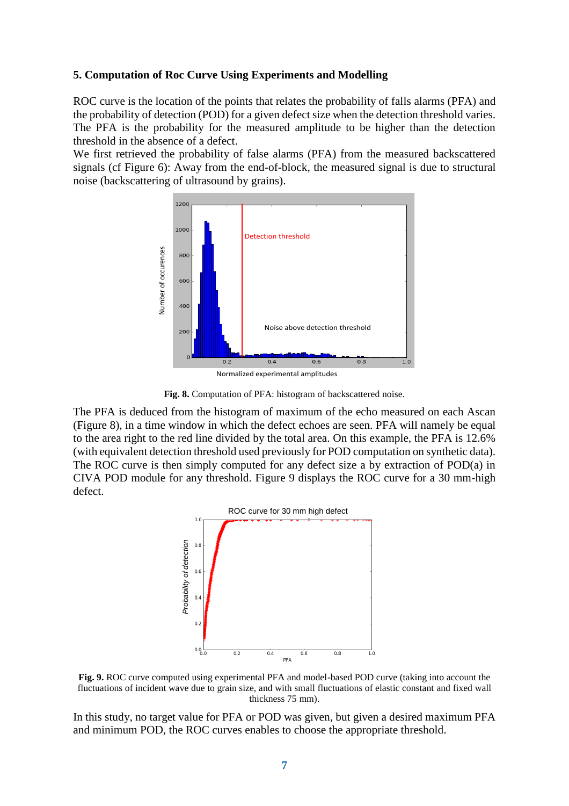#### **5. Computation of Roc Curve Using Experiments and Modelling**

ROC curve is the location of the points that relates the probability of falls alarms (PFA) and the probability of detection (POD) for a given defect size when the detection threshold varies. The PFA is the probability for the measured amplitude to be higher than the detection threshold in the absence of a defect.

We first retrieved the probability of false alarms (PFA) from the measured backscattered signals (cf Figure 6): Away from the end-of-block, the measured signal is due to structural noise (backscattering of ultrasound by grains).



Normalized experimental amplitudes

**Fig. 8.** Computation of PFA: histogram of backscattered noise.

The PFA is deduced from the histogram of maximum of the echo measured on each Ascan (Figure 8), in a time window in which the defect echoes are seen. PFA will namely be equal to the area right to the red line divided by the total area. On this example, the PFA is 12.6% (with equivalent detection threshold used previously for POD computation on synthetic data). The ROC curve is then simply computed for any defect size a by extraction of  $POD(a)$  in CIVA POD module for any threshold. Figure 9 displays the ROC curve for a 30 mm-high defect.



**Fig. 9.** ROC curve computed using experimental PFA and model-based POD curve (taking into account the fluctuations of incident wave due to grain size, and with small fluctuations of elastic constant and fixed wall thickness 75 mm).

In this study, no target value for PFA or POD was given, but given a desired maximum PFA and minimum POD, the ROC curves enables to choose the appropriate threshold.